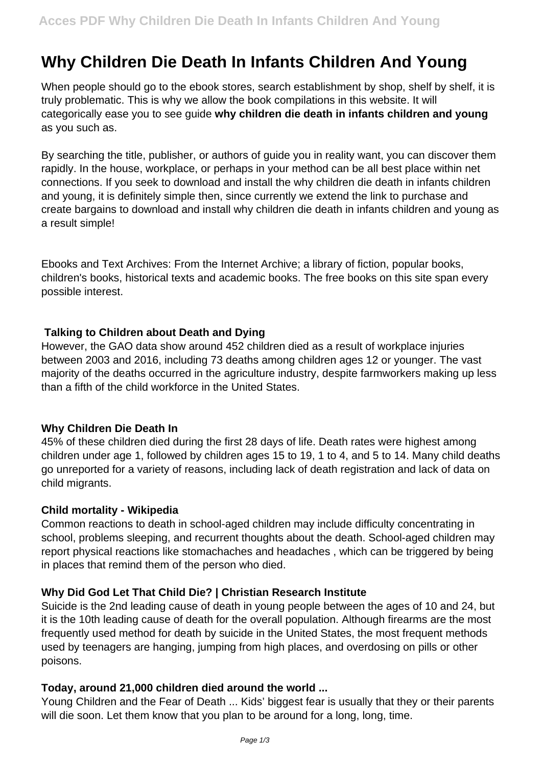# **Why Children Die Death In Infants Children And Young**

When people should go to the ebook stores, search establishment by shop, shelf by shelf, it is truly problematic. This is why we allow the book compilations in this website. It will categorically ease you to see guide **why children die death in infants children and young** as you such as.

By searching the title, publisher, or authors of guide you in reality want, you can discover them rapidly. In the house, workplace, or perhaps in your method can be all best place within net connections. If you seek to download and install the why children die death in infants children and young, it is definitely simple then, since currently we extend the link to purchase and create bargains to download and install why children die death in infants children and young as a result simple!

Ebooks and Text Archives: From the Internet Archive; a library of fiction, popular books, children's books, historical texts and academic books. The free books on this site span every possible interest.

## **Talking to Children about Death and Dying**

However, the GAO data show around 452 children died as a result of workplace injuries between 2003 and 2016, including 73 deaths among children ages 12 or younger. The vast majority of the deaths occurred in the agriculture industry, despite farmworkers making up less than a fifth of the child workforce in the United States.

#### **Why Children Die Death In**

45% of these children died during the first 28 days of life. Death rates were highest among children under age 1, followed by children ages 15 to 19, 1 to 4, and 5 to 14. Many child deaths go unreported for a variety of reasons, including lack of death registration and lack of data on child migrants.

#### **Child mortality - Wikipedia**

Common reactions to death in school-aged children may include difficulty concentrating in school, problems sleeping, and recurrent thoughts about the death. School-aged children may report physical reactions like stomachaches and headaches , which can be triggered by being in places that remind them of the person who died.

#### **Why Did God Let That Child Die? | Christian Research Institute**

Suicide is the 2nd leading cause of death in young people between the ages of 10 and 24, but it is the 10th leading cause of death for the overall population. Although firearms are the most frequently used method for death by suicide in the United States, the most frequent methods used by teenagers are hanging, jumping from high places, and overdosing on pills or other poisons.

#### **Today, around 21,000 children died around the world ...**

Young Children and the Fear of Death ... Kids' biggest fear is usually that they or their parents will die soon. Let them know that you plan to be around for a long, long, time.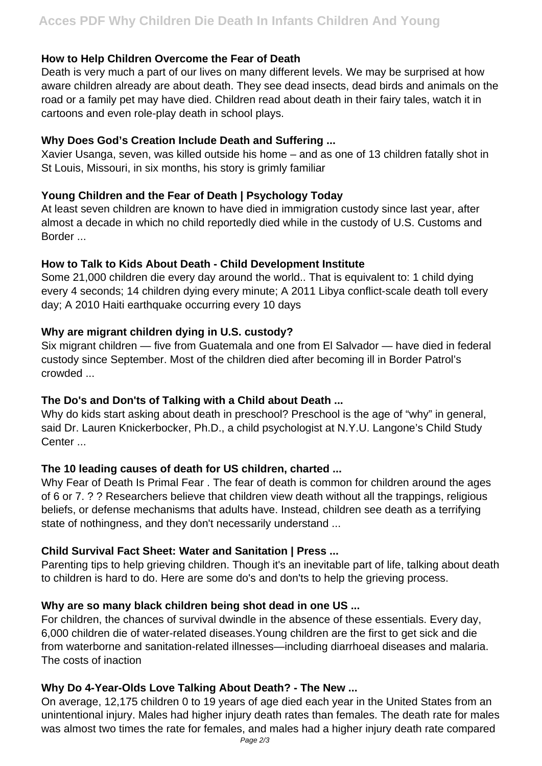## **How to Help Children Overcome the Fear of Death**

Death is very much a part of our lives on many different levels. We may be surprised at how aware children already are about death. They see dead insects, dead birds and animals on the road or a family pet may have died. Children read about death in their fairy tales, watch it in cartoons and even role-play death in school plays.

## **Why Does God's Creation Include Death and Suffering ...**

Xavier Usanga, seven, was killed outside his home – and as one of 13 children fatally shot in St Louis, Missouri, in six months, his story is grimly familiar

## **Young Children and the Fear of Death | Psychology Today**

At least seven children are known to have died in immigration custody since last year, after almost a decade in which no child reportedly died while in the custody of U.S. Customs and Border ...

## **How to Talk to Kids About Death - Child Development Institute**

Some 21,000 children die every day around the world.. That is equivalent to: 1 child dying every 4 seconds; 14 children dying every minute; A 2011 Libya conflict-scale death toll every day; A 2010 Haiti earthquake occurring every 10 days

## **Why are migrant children dying in U.S. custody?**

Six migrant children — five from Guatemala and one from El Salvador — have died in federal custody since September. Most of the children died after becoming ill in Border Patrol's crowded ...

# **The Do's and Don'ts of Talking with a Child about Death ...**

Why do kids start asking about death in preschool? Preschool is the age of "why" in general, said Dr. Lauren Knickerbocker, Ph.D., a child psychologist at N.Y.U. Langone's Child Study Center ...

# **The 10 leading causes of death for US children, charted ...**

Why Fear of Death Is Primal Fear . The fear of death is common for children around the ages of 6 or 7. ? ? Researchers believe that children view death without all the trappings, religious beliefs, or defense mechanisms that adults have. Instead, children see death as a terrifying state of nothingness, and they don't necessarily understand ...

# **Child Survival Fact Sheet: Water and Sanitation | Press ...**

Parenting tips to help grieving children. Though it's an inevitable part of life, talking about death to children is hard to do. Here are some do's and don'ts to help the grieving process.

# **Why are so many black children being shot dead in one US ...**

For children, the chances of survival dwindle in the absence of these essentials. Every day, 6,000 children die of water-related diseases.Young children are the first to get sick and die from waterborne and sanitation-related illnesses—including diarrhoeal diseases and malaria. The costs of inaction

# **Why Do 4-Year-Olds Love Talking About Death? - The New ...**

On average, 12,175 children 0 to 19 years of age died each year in the United States from an unintentional injury. Males had higher injury death rates than females. The death rate for males was almost two times the rate for females, and males had a higher injury death rate compared